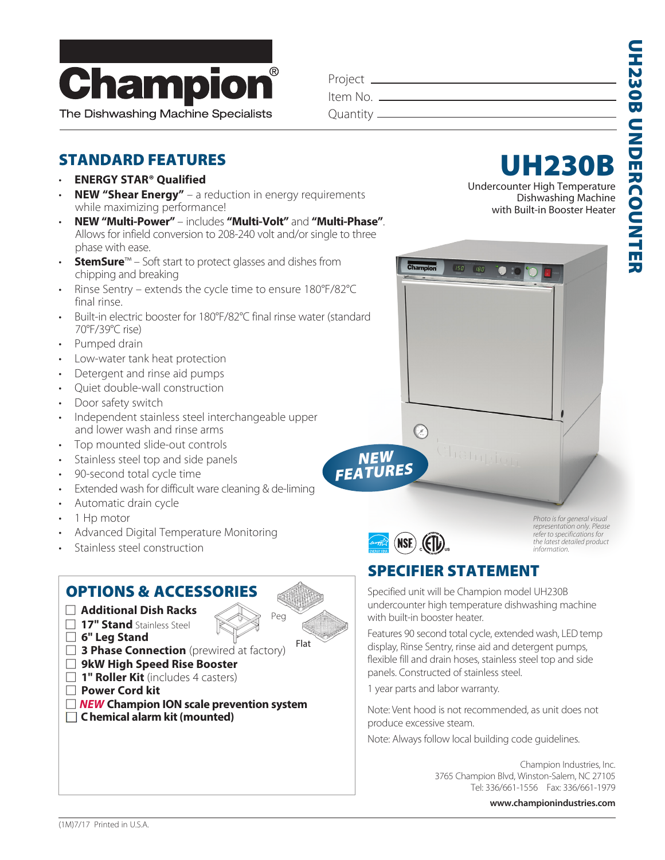

The Dishwashing Machine Specialists

| Project _    |  |
|--------------|--|
| ltem No. —   |  |
| Quantity $-$ |  |

#### STANDARD FEATURES

- **ENERGY STAR® Qualified**
- **NEW "Shear Energy"** a reduction in energy requirements while maximizing performance!
- **NEW "Multi-Power"**  includes **"Multi-Volt"** and **"Multi-Phase"**. Allows for infield conversion to 208-240 volt and/or single to three phase with ease.
- **StemSure**™ Soft start to protect glasses and dishes from chipping and breaking
- Rinse Sentry extends the cycle time to ensure 180°F/82°C final rinse.
- Built-in electric booster for 180°F/82°C final rinse water (standard 70°F/39°C rise)
- Pumped drain
- Low-water tank heat protection
- Detergent and rinse aid pumps
- Quiet double-wall construction
- Door safety switch
- Independent stainless steel interchangeable upper and lower wash and rinse arms
- Top mounted slide-out controls
- Stainless steel top and side panels
- 90-second total cycle time
- Extended wash for difficult ware cleaning & de-liming
- Automatic drain cycle
- 1 Hp motor
- Advanced Digital Temperature Monitoring
- Stainless steel construction

#### OPTIONS & ACCESSORIES : **Additional Dish Racks 17" Stand** Stainless Steel Peg : **6" Leg Stand 3 Phase Connection** (prewired at factory) : **9kW High Speed Rise Booster 1" Roller Kit** (includes 4 casters) : **Power Cord kit** □ **NEW** Champion ION scale prevention system Flat

 **C hemical alarm kit (mounted)**



Dishwashing Machine with Built-in Booster Heater



 $\odot$ 

 $FFA$ <sup>1</sup>

*Photo is for general visual representation only. Please refer to specifications for the latest detailed product information.*

### SPECIFIER STATEMENT

Specified unit will be Champion model UH230B undercounter high temperature dishwashing machine with built-in booster heater.

 $180$ 

Features 90 second total cycle, extended wash, LED temp display, Rinse Sentry, rinse aid and detergent pumps, flexible fill and drain hoses, stainless steel top and side panels. Constructed of stainless steel.

1 year parts and labor warranty.

Note: Vent hood is not recommended, as unit does not produce excessive steam.

Note: Always follow local building code guidelines.

Champion Industries, Inc. 3765 Champion Blvd, Winston-Salem, NC 27105 Tel: 336/661-1556 Fax: 336/661-1979

 **www.championindustries.com**